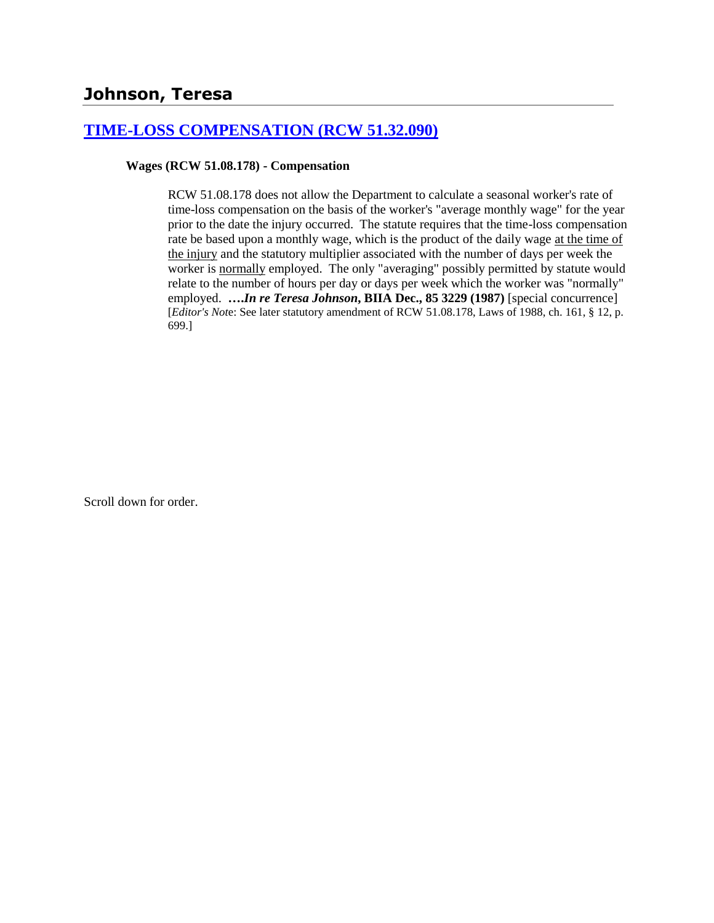# **Johnson, Teresa**

## **[TIME-LOSS COMPENSATION \(RCW 51.32.090\)](http://www.biia.wa.gov/SDSubjectIndex.html#TIME_LOSS_COMPENSATION)**

## **Wages (RCW 51.08.178) - Compensation**

RCW 51.08.178 does not allow the Department to calculate a seasonal worker's rate of time-loss compensation on the basis of the worker's "average monthly wage" for the year prior to the date the injury occurred. The statute requires that the time-loss compensation rate be based upon a monthly wage, which is the product of the daily wage at the time of the injury and the statutory multiplier associated with the number of days per week the worker is normally employed. The only "averaging" possibly permitted by statute would relate to the number of hours per day or days per week which the worker was "normally" employed. **….***In re Teresa Johnson***, BIIA Dec., 85 3229 (1987)** [special concurrence] [*Editor's Not*e: See later statutory amendment of RCW 51.08.178, Laws of 1988, ch. 161, § 12, p. 699.]

Scroll down for order.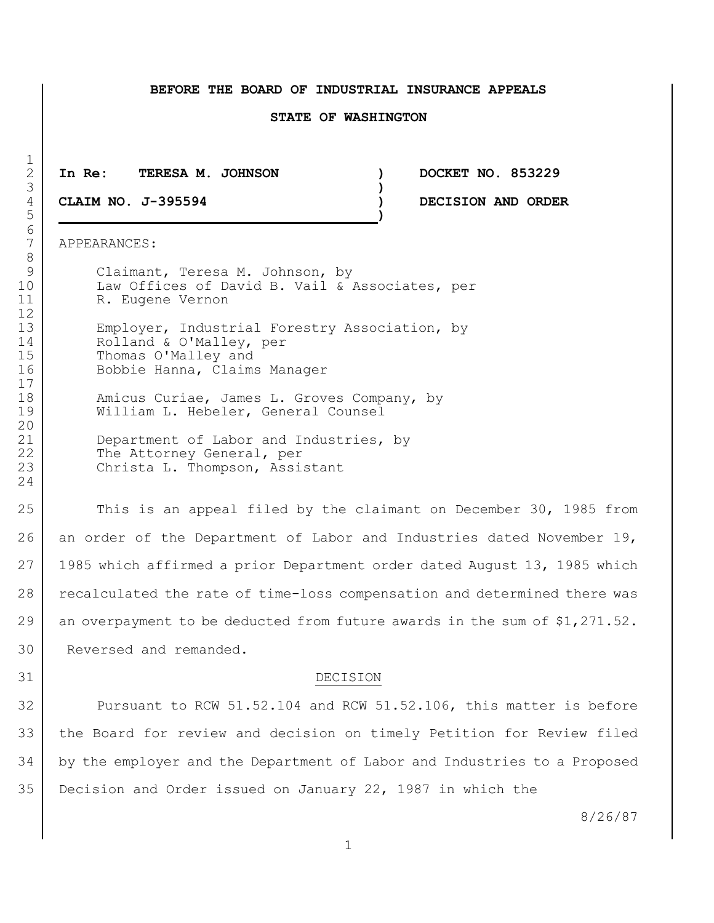#### **BEFORE THE BOARD OF INDUSTRIAL INSURANCE APPEALS**

#### **STATE OF WASHINGTON**

2 **In Re: TERESA M. JOHNSON ) DOCKET NO. 853229**

4 **CLAIM NO. J-395594 ) DECISION AND ORDER** 5 **)**

7 APPEARANCES:

9 Claimant, Teresa M. Johnson, by 10 | Law Offices of David B. Vail & Associates, per 11 R. Eugene Vernon

13 Employer, Industrial Forestry Association, by 14 Rolland & O'Malley, per 15 Thomas O'Malley and 16 Bobbie Hanna, Claims Manager

18 | Manicus Curiae, James L. Groves Company, by 19 William L. Hebeler, General Counsel

21 Department of Labor and Industries, by 22 The Attorney General, per 23 Christa L. Thompson, Assistant

25 This is an appeal filed by the claimant on December 30, 1985 from 26 an order of the Department of Labor and Industries dated November 19, 27 1985 which affirmed a prior Department order dated August 13, 1985 which 28 recalculated the rate of time-loss compensation and determined there was 29 an overpayment to be deducted from future awards in the sum of  $$1,271.52$ . 30 Reversed and remanded.

#### 31 DECISION

32 Pursuant to RCW 51.52.104 and RCW 51.52.106, this matter is before the Board for review and decision on timely Petition for Review filed by the employer and the Department of Labor and Industries to a Proposed Decision and Order issued on January 22, 1987 in which the

8/26/87

 $\frac{1}{2}$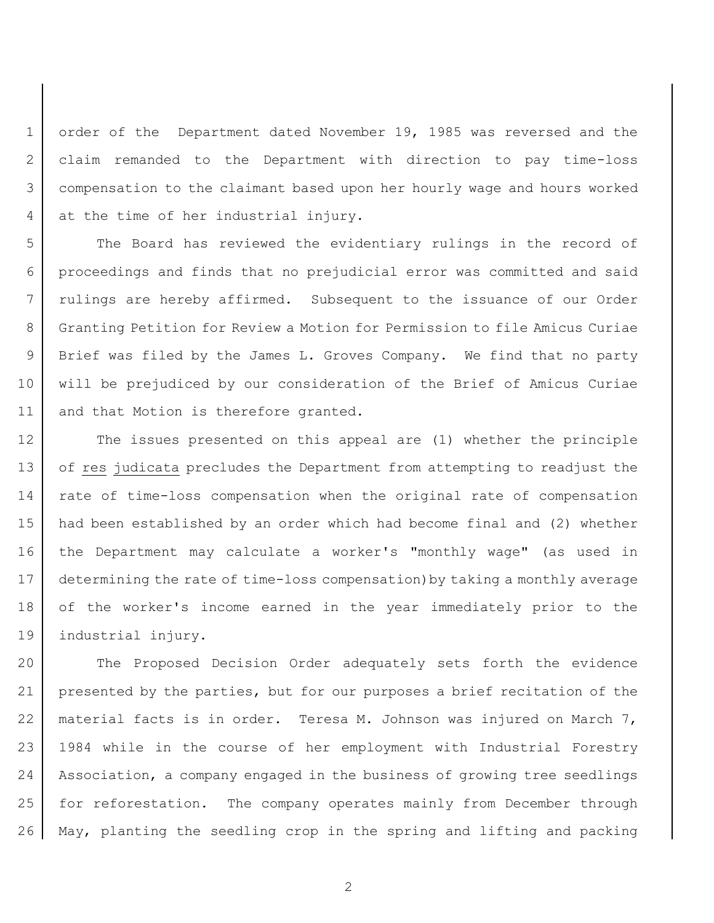1 order of the Department dated November 19, 1985 was reversed and the claim remanded to the Department with direction to pay time-loss compensation to the claimant based upon her hourly wage and hours worked at the time of her industrial injury.

5 The Board has reviewed the evidentiary rulings in the record of proceedings and finds that no prejudicial error was committed and said rulings are hereby affirmed. Subsequent to the issuance of our Order Granting Petition for Review a Motion for Permission to file Amicus Curiae Brief was filed by the James L. Groves Company. We find that no party will be prejudiced by our consideration of the Brief of Amicus Curiae 11 and that Motion is therefore granted.

12 The issues presented on this appeal are (1) whether the principle 13 of res judicata precludes the Department from attempting to readjust the rate of time-loss compensation when the original rate of compensation had been established by an order which had become final and (2) whether the Department may calculate a worker's "monthly wage" (as used in determining the rate of time-loss compensation)by taking a monthly average of the worker's income earned in the year immediately prior to the industrial injury.

 The Proposed Decision Order adequately sets forth the evidence presented by the parties, but for our purposes a brief recitation of the material facts is in order. Teresa M. Johnson was injured on March 7, 1984 while in the course of her employment with Industrial Forestry Association, a company engaged in the business of growing tree seedlings for reforestation. The company operates mainly from December through May, planting the seedling crop in the spring and lifting and packing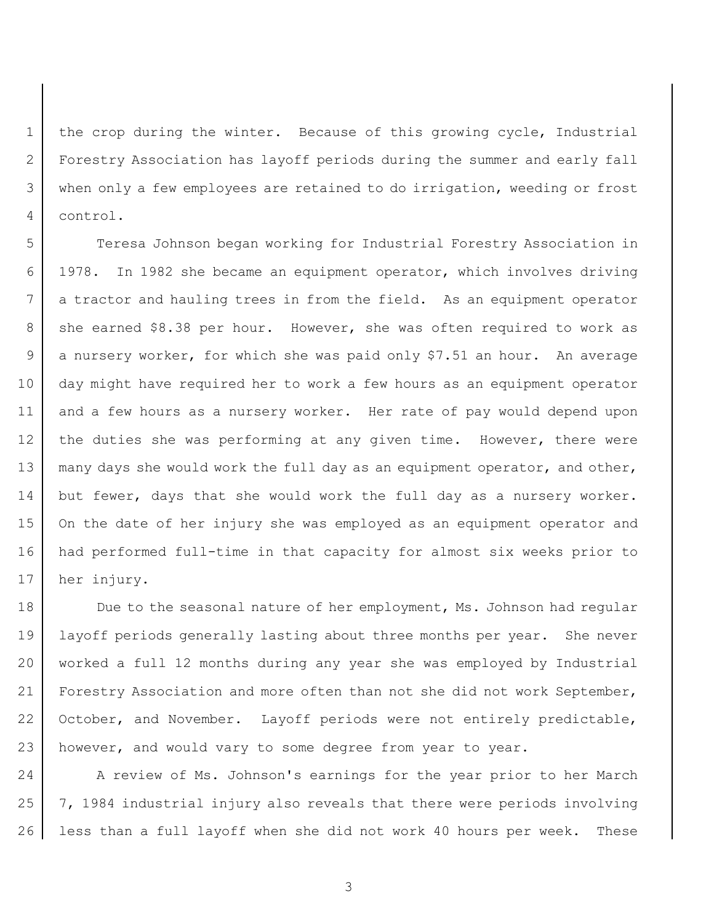the crop during the winter. Because of this growing cycle, Industrial Forestry Association has layoff periods during the summer and early fall when only a few employees are retained to do irrigation, weeding or frost control.

 Teresa Johnson began working for Industrial Forestry Association in 1978. In 1982 she became an equipment operator, which involves driving a tractor and hauling trees in from the field. As an equipment operator 8 she earned \$8.38 per hour. However, she was often required to work as a nursery worker, for which she was paid only \$7.51 an hour. An average day might have required her to work a few hours as an equipment operator and a few hours as a nursery worker. Her rate of pay would depend upon 12 the duties she was performing at any given time. However, there were 13 | many days she would work the full day as an equipment operator, and other, 14 but fewer, days that she would work the full day as a nursery worker. 15 On the date of her injury she was employed as an equipment operator and had performed full-time in that capacity for almost six weeks prior to her injury.

18 Due to the seasonal nature of her employment, Ms. Johnson had regular layoff periods generally lasting about three months per year. She never worked a full 12 months during any year she was employed by Industrial 21 | Forestry Association and more often than not she did not work September, 22 October, and November. Layoff periods were not entirely predictable, however, and would vary to some degree from year to year.

24 A review of Ms. Johnson's earnings for the year prior to her March 7, 1984 industrial injury also reveals that there were periods involving less than a full layoff when she did not work 40 hours per week. These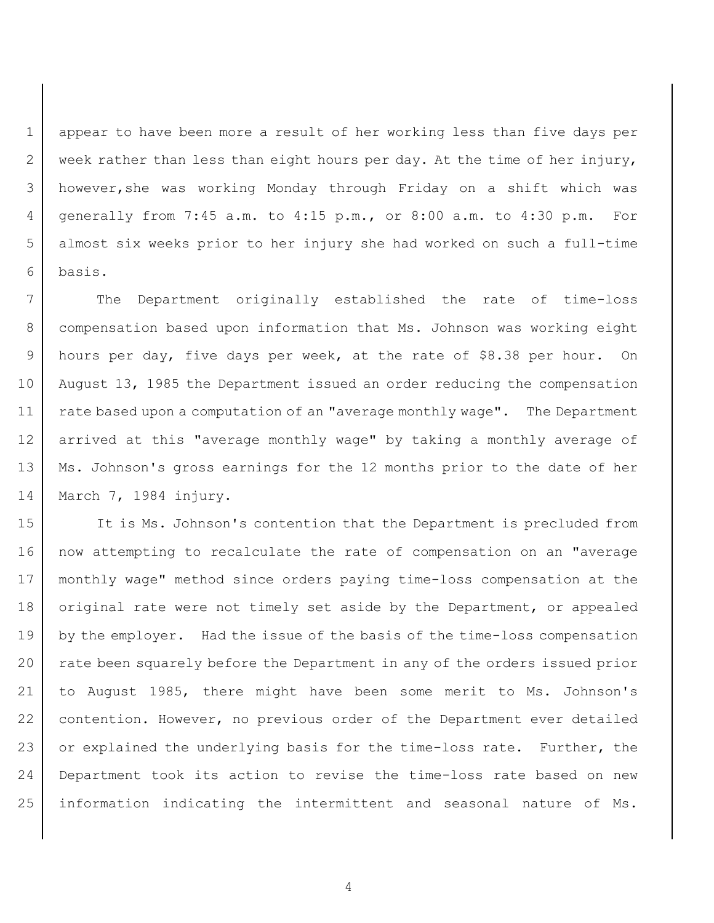appear to have been more a result of her working less than five days per 2 week rather than less than eight hours per day. At the time of her injury, however,she was working Monday through Friday on a shift which was generally from 7:45 a.m. to 4:15 p.m., or 8:00 a.m. to 4:30 p.m. For almost six weeks prior to her injury she had worked on such a full-time basis.

 The Department originally established the rate of time-loss 8 | compensation based upon information that Ms. Johnson was working eight hours per day, five days per week, at the rate of \$8.38 per hour. On August 13, 1985 the Department issued an order reducing the compensation 11 | rate based upon a computation of an "average monthly wage". The Department arrived at this "average monthly wage" by taking a monthly average of 13 | Ms. Johnson's gross earnings for the 12 months prior to the date of her March 7, 1984 injury.

 It is Ms. Johnson's contention that the Department is precluded from now attempting to recalculate the rate of compensation on an "average monthly wage" method since orders paying time-loss compensation at the 18 | original rate were not timely set aside by the Department, or appealed 19 by the employer. Had the issue of the basis of the time-loss compensation 20 rate been squarely before the Department in any of the orders issued prior to August 1985, there might have been some merit to Ms. Johnson's contention. However, no previous order of the Department ever detailed 23 or explained the underlying basis for the time-loss rate. Further, the Department took its action to revise the time-loss rate based on new information indicating the intermittent and seasonal nature of Ms.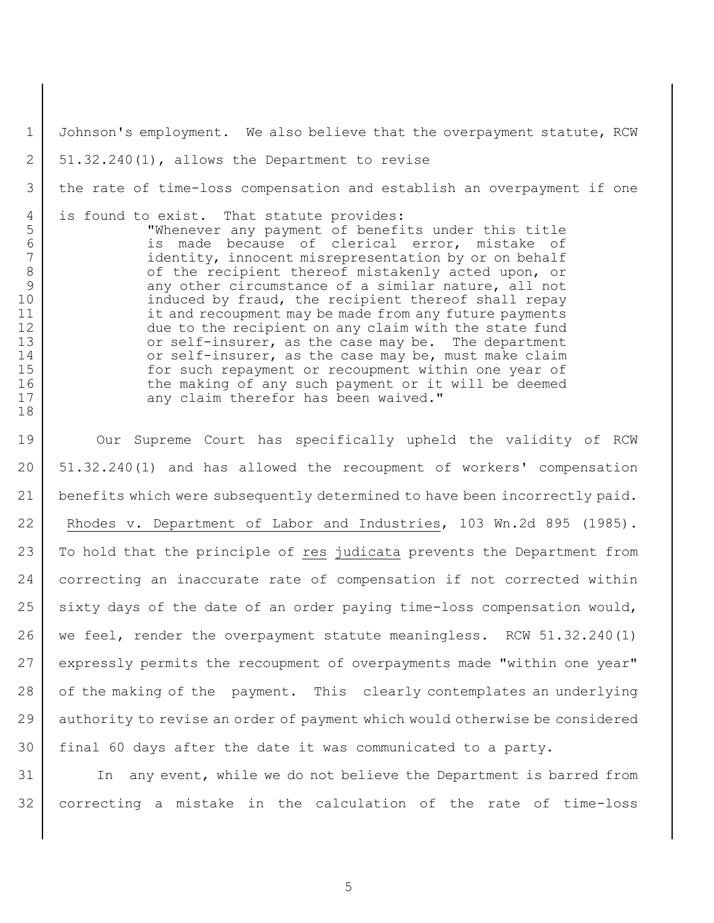1 Johnson's employment. We also believe that the overpayment statute, RCW  $2 \mid 51.32.240(1)$ , allows the Department to revise 3 the rate of time-loss compensation and establish an overpayment if one 4 is found to exist. That statute provides: 5 "Whenever any payment of benefits under this title 6 is made because of clerical error, mistake of<br>7 identity, innocent-misrepresentation-by-or-on-behalf identity, innocent misrepresentation by or on behalf 8 of the recipient thereof mistakenly acted upon, or 9 any other circumstance of a similar nature, all not 10 induced by fraud, the recipient thereof shall repay 11 it and recoupment may be made from any future payments 12 due to the recipient on any claim with the state fund 13 or self-insurer, as the case may be. The department 14 or self-insurer, as the case may be, must make claim 15 | for such repayment or recoupment within one year of 16 the making of any such payment or it will be deemed 17 any claim therefor has been waived." 18 19 Our Supreme Court has specifically upheld the validity of RCW 20 51.32.240(1) and has allowed the recoupment of workers' compensation 21 benefits which were subsequently determined to have been incorrectly paid. 22 Rhodes v. Department of Labor and Industries, 103 Wn.2d 895 (1985). 23 To hold that the principle of res judicata prevents the Department from

24 correcting an inaccurate rate of compensation if not corrected within 25 sixty days of the date of an order paying time-loss compensation would, 26 | we feel, render the overpayment statute meaningless. RCW 51.32.240(1) 27 expressly permits the recoupment of overpayments made "within one year" 28 of the making of the payment. This clearly contemplates an underlying 29 authority to revise an order of payment which would otherwise be considered 30 final 60 days after the date it was communicated to a party.

31 In any event, while we do not believe the Department is barred from 32 correcting a mistake in the calculation of the rate of time-loss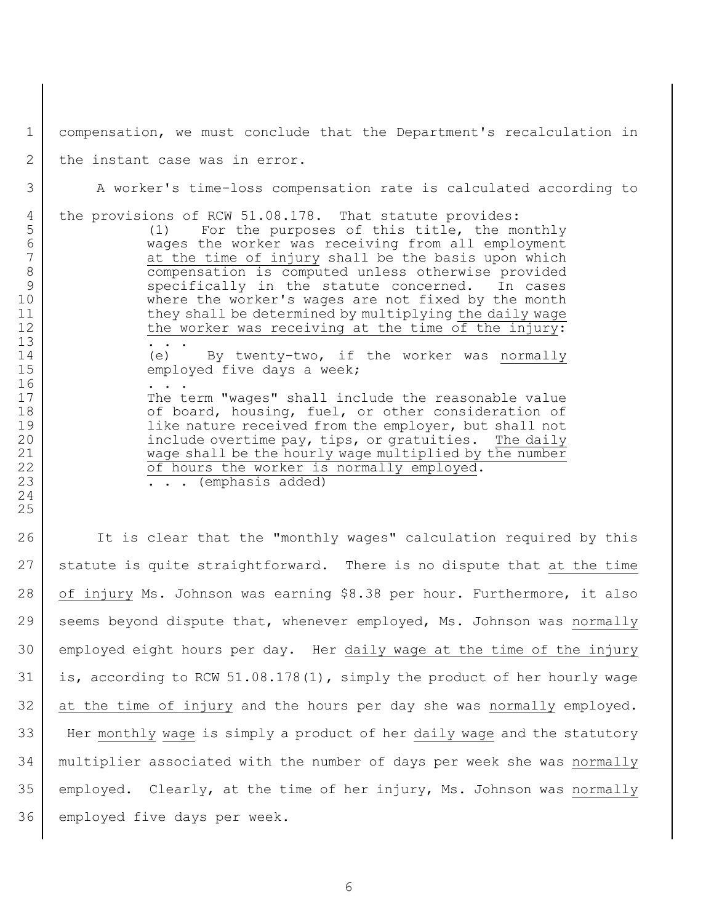compensation, we must conclude that the Department's recalculation in

2 the instant case was in error.

A worker's time-loss compensation rate is calculated according to

the provisions of RCW 51.08.178. That statute provides:

 (1) For the purposes of this title, the monthly 6 wages the worker was receiving from all employment<br>7 at the time of injury shall be the basis upon which at the time of injury shall be the basis upon which compensation is computed unless otherwise provided 9 specifically in the statute concerned. In cases where the worker's wages are not fixed by the month 11 they shall be determined by multiplying the daily wage 12 the worker was receiving at the time of the injury:

14 (e) By twenty-two, if the worker was normally 15 employed five days a week;

17 The term "wages" shall include the reasonable value 18 of board, housing, fuel, or other consideration of **like nature received from the employer, but shall not include overtime pay, tips, or gratuities.** The daily wage shall be the hourly wage multiplied by the number **of hours the worker is normally employed.** 

**...** (emphasis added)

26 It is clear that the "monthly wages" calculation required by this statute is quite straightforward. There is no dispute that at the time 28 | of injury Ms. Johnson was earning \$8.38 per hour. Furthermore, it also 29 seems beyond dispute that, whenever employed, Ms. Johnson was normally employed eight hours per day. Her daily wage at the time of the injury is, according to RCW 51.08.178(1), simply the product of her hourly wage at the time of injury and the hours per day she was normally employed. Her monthly wage is simply a product of her daily wage and the statutory multiplier associated with the number of days per week she was normally employed. Clearly, at the time of her injury, Ms. Johnson was normally employed five days per week.

 . . . 16 . . . .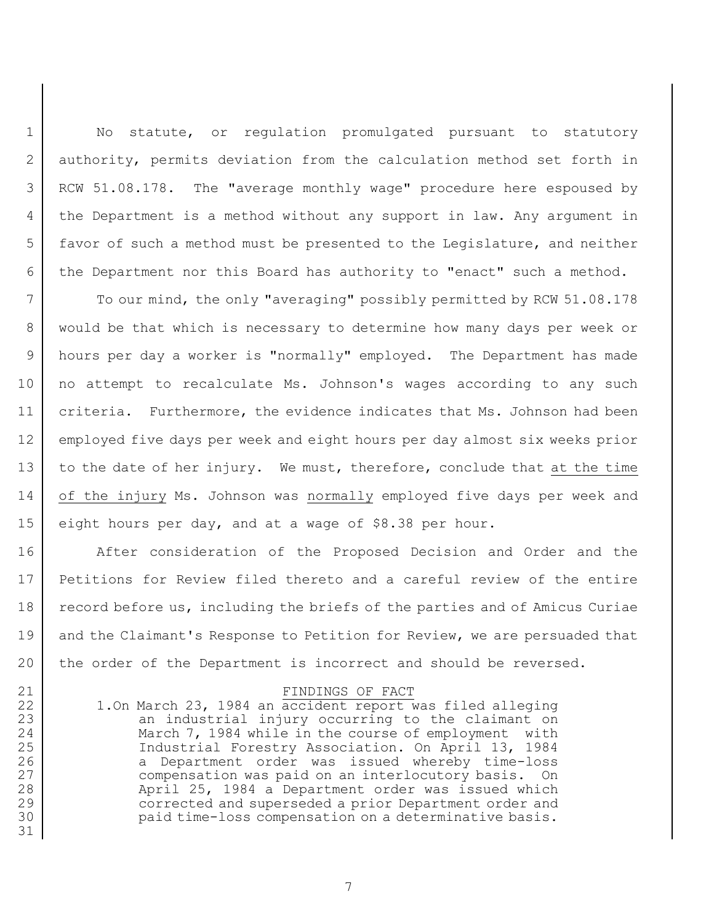1 | No statute, or regulation promulgated pursuant to statutory 2 authority, permits deviation from the calculation method set forth in 3 RCW 51.08.178. The "average monthly wage" procedure here espoused by 4 the Department is a method without any support in law. Any argument in 5 favor of such a method must be presented to the Legislature, and neither 6 the Department nor this Board has authority to "enact" such a method.

 To our mind, the only "averaging" possibly permitted by RCW 51.08.178 would be that which is necessary to determine how many days per week or hours per day a worker is "normally" employed. The Department has made no attempt to recalculate Ms. Johnson's wages according to any such criteria. Furthermore, the evidence indicates that Ms. Johnson had been employed five days per week and eight hours per day almost six weeks prior 13 | to the date of her injury. We must, therefore, conclude that at the time of the injury Ms. Johnson was normally employed five days per week and eight hours per day, and at a wage of \$8.38 per hour.

16 After consideration of the Proposed Decision and Order and the 17 Petitions for Review filed thereto and a careful review of the entire 18 record before us, including the briefs of the parties and of Amicus Curiae 19 and the Claimant's Response to Petition for Review, we are persuaded that 20 the order of the Department is incorrect and should be reversed.

## 21 FINDINGS OF FACT

22 1.On March 23, 1984 an accident report was filed alleging 23 an industrial injury occurring to the claimant on 24 March 7, 1984 while in the course of employment with 25 Industrial Forestry Association. On April 13, 1984 26 a Department order was issued whereby time-loss 27 compensation was paid on an interlocutory basis. On 28 April 25, 1984 a Department order was issued which 29 corrected and superseded a prior Department order and 30 paid time-loss compensation on a determinative basis.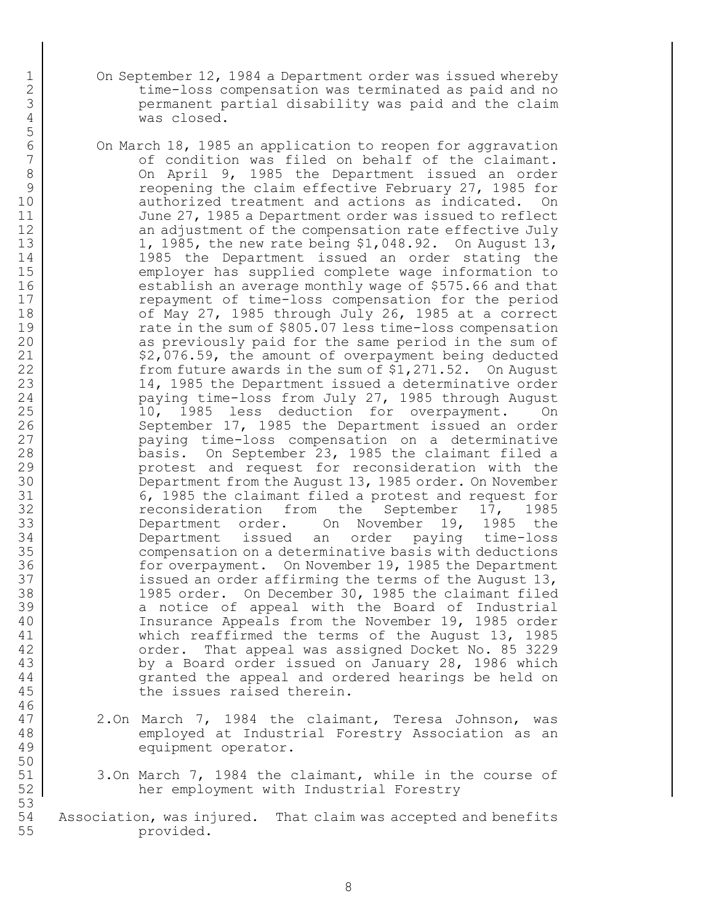- 1 | On September 12, 1984 a Department order was issued whereby 2 time-loss compensation was terminated as paid and no permanent partial disability was paid and the claim was closed.
- On March 18, 1985 an application to reopen for aggravation 7 | Condition was filed on behalf of the claimant. 8 On April 9, 1985 the Department issued an order 9 Theopening the claim effective February 27, 1985 for 10 authorized treatment and actions as indicated. On June 27, 1985 a Department order was issued to reflect 12 an adjustment of the compensation rate effective July 13 1, 1985, the new rate being \$1,048.92. On August 13, 14 1985 the Department issued an order stating the employer has supplied complete wage information to establish an average monthly wage of \$575.66 and that **example 17** repayment of time-loss compensation for the period 18 | cf May 27, 1985 through July 26, 1985 at a correct 19 Tate in the sum of \$805.07 less time-loss compensation 20 as previously paid for the same period in the sum of 21 | \$2,076.59, the amount of overpayment being deducted 22 from future awards in the sum of \$1,271.52. On August 23 14, 1985 the Department issued a determinative order paying time-loss from July 27, 1985 through August 10, 1985 less deduction for overpayment. On 26 September 17, 1985 the Department issued an order paying time-loss compensation on a determinative basis. On September 23, 1985 the claimant filed a protest and request for reconsideration with the Department from the August 13, 1985 order. On November 6, 1985 the claimant filed a protest and request for reconsideration from the September 17, 1985 Department order. On November 19, 1985 the Department issued an order paying time-loss compensation on a determinative basis with deductions for overpayment. On November 19, 1985 the Department 37 issued an order affirming the terms of the August 13, 1985 order. On December 30, 1985 the claimant filed 39 a notice of appeal with the Board of Industrial Insurance Appeals from the November 19, 1985 order which reaffirmed the terms of the August 13, 1985 order. That appeal was assigned Docket No. 85 3229 43 by a Board order issued on January 28, 1986 which 44 granted the appeal and ordered hearings be held on 45 the issues raised therein.
- 2.On March 7, 1984 the claimant, Teresa Johnson, was employed at Industrial Forestry Association as an equipment operator.
- 51 3.On March 7, 1984 the claimant, while in the course of her employment with Industrial Forestry
- Association, was injured. That claim was accepted and benefits provided.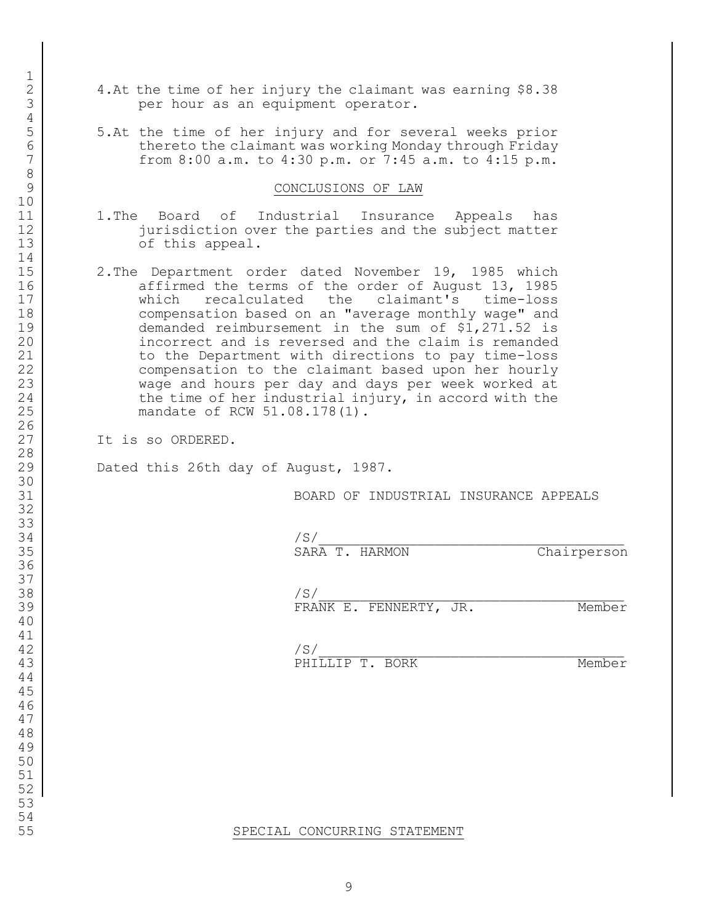- 4.At the time of her injury the claimant was earning \$8.38 **per hour as an equipment operator.**
- 5.At the time of her injury and for several weeks prior 6 thereto the claimant was working Monday through Friday from 8:00 a.m. to 4:30 p.m. or 7:45 a.m. to 4:15 p.m.

## 9 CONCLUSIONS OF LAW

- 1.The Board of Industrial Insurance Appeals has 12 jurisdiction over the parties and the subject matter 13 of this appeal.
- 15 | 2.The Department order dated November 19, 1985 which 16 affirmed the terms of the order of August 13, 1985 which recalculated the claimant's time-loss 18 compensation based on an "average monthly wage" and demanded reimbursement in the sum of \$1,271.52 is incorrect and is reversed and the claim is remanded 21 | to the Department with directions to pay time-loss compensation to the claimant based upon her hourly wage and hours per day and days per week worked at 24 the time of her industrial injury, in accord with the mandate of RCW 51.08.178(1).
- 27 | Tt is so ORDERED.

29 Dated this 26th day of August, 1987.

BOARD OF INDUSTRIAL INSURANCE APPEALS

| 34                       |                                            |          |
|--------------------------|--------------------------------------------|----------|
| $\sim$ $-$<br>۔ یہ<br>ーー | $\cdots$<br>R M €<br>- 11<br>$\sim$ $\sim$ | ے نہ دین |

 /S/ FRANK E. FENNERTY, JR. Member

 /S/ 43 PHILLIP T. BORK Member

SPECIAL CONCURRING STATEMENT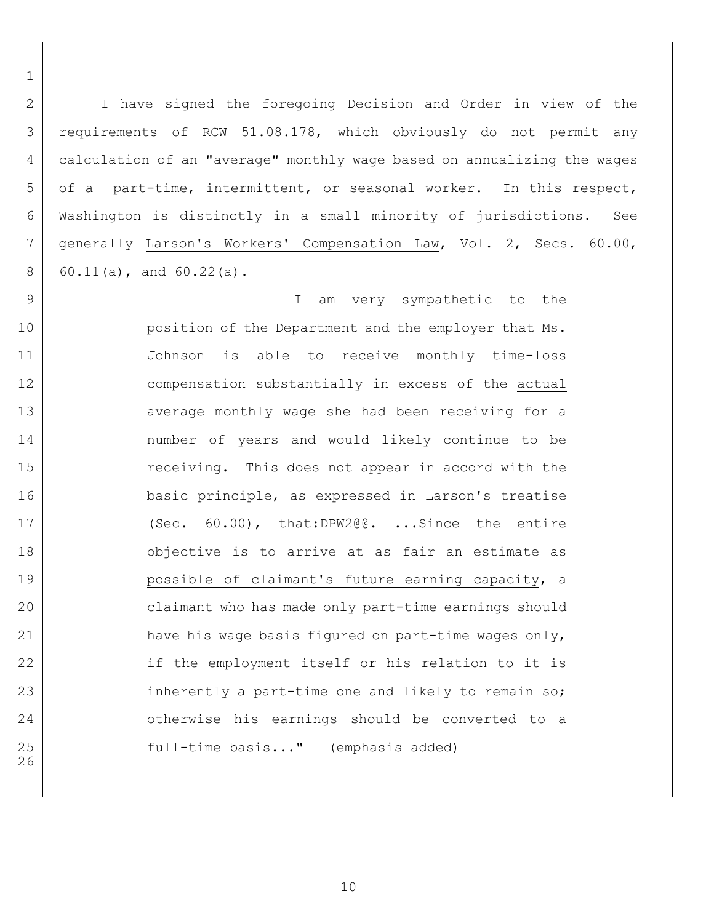I have signed the foregoing Decision and Order in view of the requirements of RCW 51.08.178, which obviously do not permit any calculation of an "average" monthly wage based on annualizing the wages of a part-time, intermittent, or seasonal worker. In this respect, Washington is distinctly in a small minority of jurisdictions. See generally Larson's Workers' Compensation Law, Vol. 2, Secs. 60.00, 60.11(a), and  $60.22(a)$ .

 I am very sympathetic to the **position of the Department and the employer that Ms.**  Johnson is able to receive monthly time-loss 12 compensation substantially in excess of the actual 13 average monthly wage she had been receiving for a number of years and would likely continue to be 15 This does not appear in accord with the basic principle, as expressed in Larson's treatise (Sec. 60.00), that:DPW2@@. ...Since the entire 18 objective is to arrive at as fair an estimate as **possible of claimant's future earning capacity, a**  claimant who has made only part-time earnings should 21 | have his wage basis figured on part-time wages only, 22 if the employment itself or his relation to it is 23 inherently a part-time one and likely to remain so; 24 otherwise his earnings should be converted to a 25 | Tull-time basis..." (emphasis added)